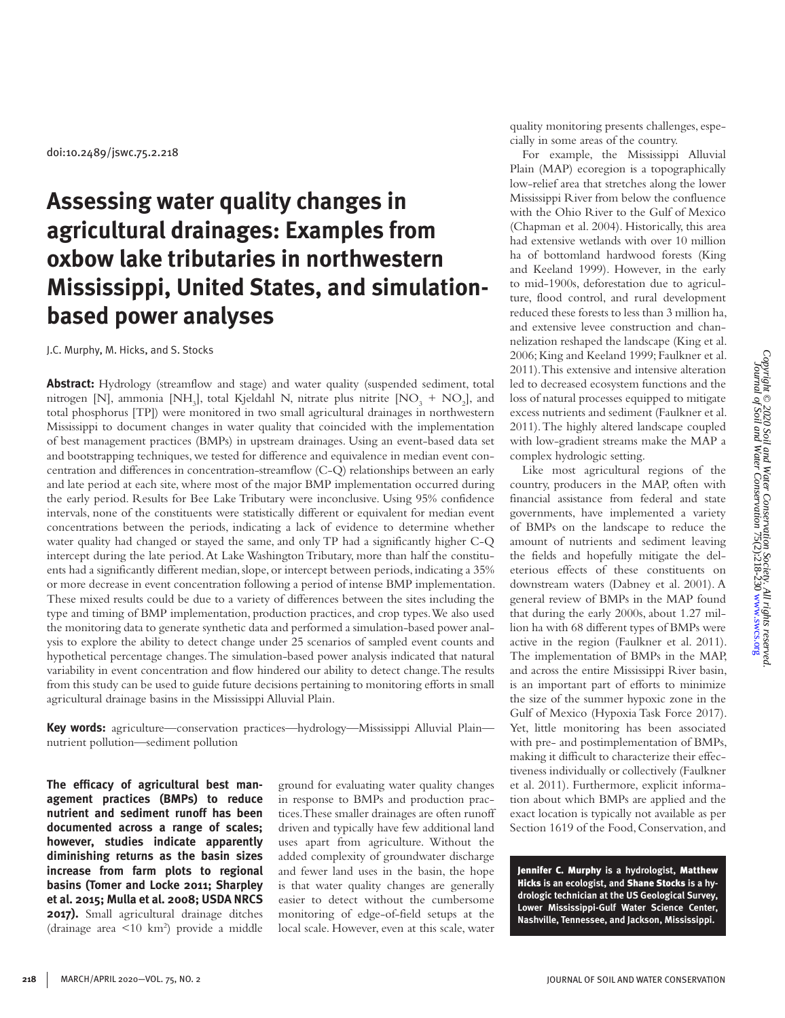doi:10.2489/jswc.75.2.218

# **Assessing water quality changes in agricultural drainages: Examples from oxbow lake tributaries in northwestern Mississippi, United States, and simulationbased power analyses**

J.C. Murphy, M. Hicks, and S. Stocks

**Abstract:** Hydrology (streamflow and stage) and water quality (suspended sediment, total nitrogen [N], ammonia [NH<sub>3</sub>], total Kjeldahl N, nitrate plus nitrite  $[NO<sub>3</sub> + NO<sub>2</sub>]$ , and total phosphorus [TP]) were monitored in two small agricultural drainages in northwestern Mississippi to document changes in water quality that coincided with the implementation of best management practices (BMPs) in upstream drainages. Using an event-based data set and bootstrapping techniques, we tested for difference and equivalence in median event concentration and differences in concentration-streamflow (C-Q) relationships between an early and late period at each site, where most of the major BMP implementation occurred during the early period. Results for Bee Lake Tributary were inconclusive. Using 95% confidence intervals, none of the constituents were statistically different or equivalent for median event concentrations between the periods, indicating a lack of evidence to determine whether water quality had changed or stayed the same, and only TP had a significantly higher C-Q intercept during the late period. At Lake Washington Tributary, more than half the constituents had a significantly different median, slope, or intercept between periods, indicating a 35% or more decrease in event concentration following a period of intense BMP implementation. These mixed results could be due to a variety of differences between the sites including the type and timing of BMP implementation, production practices, and crop types. We also used the monitoring data to generate synthetic data and performed a simulation-based power analysis to explore the ability to detect change under 25 scenarios of sampled event counts and hypothetical percentage changes. The simulation-based power analysis indicated that natural variability in event concentration and flow hindered our ability to detect change. The results from this study can be used to guide future decisions pertaining to monitoring efforts in small agricultural drainage basins in the Mississippi Alluvial Plain.

**Key words:** agriculture—conservation practices—hydrology—Mississippi Alluvial Plain nutrient pollution—sediment pollution

**The efficacy of agricultural best management practices (BMPs) to reduce nutrient and sediment runoff has been documented across a range of scales; however, studies indicate apparently diminishing returns as the basin sizes increase from farm plots to regional basins (Tomer and Locke 2011; Sharpley et al. 2015; Mulla et al. 2008; USDA NRCS 2017).** Small agricultural drainage ditches (drainage area <10 km2 ) provide a middle ground for evaluating water quality changes in response to BMPs and production practices. These smaller drainages are often runoff driven and typically have few additional land uses apart from agriculture. Without the added complexity of groundwater discharge and fewer land uses in the basin, the hope is that water quality changes are generally easier to detect without the cumbersome monitoring of edge-of-field setups at the local scale. However, even at this scale, water

quality monitoring presents challenges, especially in some areas of the country.

For example, the Mississippi Alluvial Plain (MAP) ecoregion is a topographically low-relief area that stretches along the lower Mississippi River from below the confluence with the Ohio River to the Gulf of Mexico (Chapman et al. 2004). Historically, this area had extensive wetlands with over 10 million ha of bottomland hardwood forests (King and Keeland 1999). However, in the early to mid-1900s, deforestation due to agriculture, flood control, and rural development reduced these forests to less than 3 million ha, and extensive levee construction and channelization reshaped the landscape (King et al. 2006; King and Keeland 1999; Faulkner et al. 2011). This extensive and intensive alteration led to decreased ecosystem functions and the loss of natural processes equipped to mitigate excess nutrients and sediment (Faulkner et al. 2011). The highly altered landscape coupled with low-gradient streams make the MAP a complex hydrologic setting.

Like most agricultural regions of the country, producers in the MAP, often with financial assistance from federal and state governments, have implemented a variety of BMPs on the landscape to reduce the amount of nutrients and sediment leaving the fields and hopefully mitigate the deleterious effects of these constituents on downstream waters (Dabney et al. 2001). A general review of BMPs in the MAP found that during the early 2000s, about 1.27 million ha with 68 different types of BMPs were active in the region (Faulkner et al. 2011). The implementation of BMPs in the MAP, and across the entire Mississippi River basin, is an important part of efforts to minimize the size of the summer hypoxic zone in the Gulf of Mexico (Hypoxia Task Force 2017). Yet, little monitoring has been associated with pre- and postimplementation of BMPs, making it difficult to characterize their effectiveness individually or collectively (Faulkner et al. 2011). Furthermore, explicit information about which BMPs are applied and the exact location is typically not available as per Section 1619 of the Food, Conservation, and

Jennifer C. Murphy **is a hydrologist,** Matthew Hicks **is an ecologist, and** Shane Stocks **is a hydrologic technician at the US Geological Survey, Lower Mississippi-Gulf Water Science Center, Nashville, Tennessee, and Jackson, Mississippi.**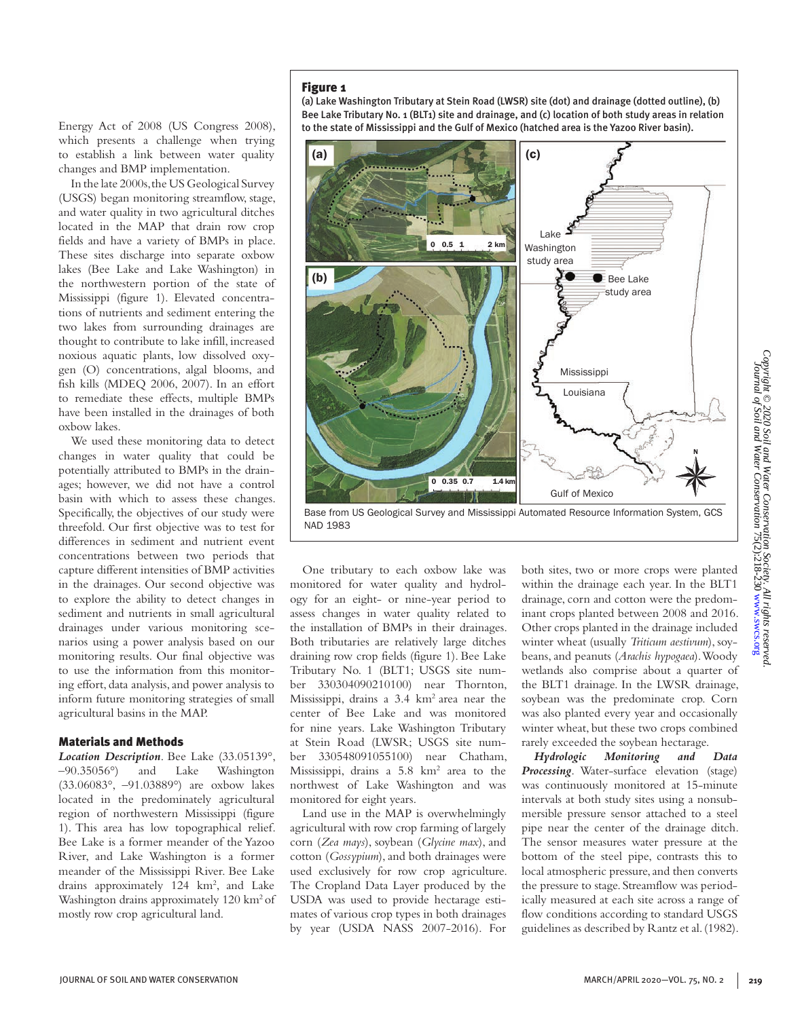Energy Act of 2008 (US Congress 2008), which presents a challenge when trying to establish a link between water quality changes and BMP implementation.

In the late 2000s, the US Geological Survey (USGS) began monitoring streamflow, stage, and water quality in two agricultural ditches located in the MAP that drain row crop fields and have a variety of BMPs in place. These sites discharge into separate oxbow lakes (Bee Lake and Lake Washington) in the northwestern portion of the state of Mississippi (figure 1). Elevated concentrations of nutrients and sediment entering the two lakes from surrounding drainages are thought to contribute to lake infill, increased noxious aquatic plants, low dissolved oxygen (O) concentrations, algal blooms, and fish kills (MDEQ 2006, 2007). In an effort to remediate these effects, multiple BMPs have been installed in the drainages of both oxbow lakes.

We used these monitoring data to detect changes in water quality that could be potentially attributed to BMPs in the drainages; however, we did not have a control basin with which to assess these changes. Specifically, the objectives of our study were threefold. Our first objective was to test for differences in sediment and nutrient event concentrations between two periods that capture different intensities of BMP activities in the drainages. Our second objective was to explore the ability to detect changes in sediment and nutrients in small agricultural drainages under various monitoring scenarios using a power analysis based on our monitoring results. Our final objective was to use the information from this monitoring effort, data analysis, and power analysis to inform future monitoring strategies of small agricultural basins in the MAP.

#### Materials and Methods

*Location Description*. Bee Lake (33.05139°, –90.35056°) and Lake Washington (33.06083°, –91.03889°) are oxbow lakes located in the predominately agricultural region of northwestern Mississippi (figure 1). This area has low topographical relief. Bee Lake is a former meander of the Yazoo River, and Lake Washington is a former meander of the Mississippi River. Bee Lake drains approximately 124 km<sup>2</sup>, and Lake Washington drains approximately 120 km<sup>2</sup> of mostly row crop agricultural land.

(a) Lake Washington Tributary at Stein Road (LWSR) site (dot) and drainage (dotted outline), (b) Bee Lake Tributary No. 1 (BLT1) site and drainage, and (c) location of both study areas in relation to the state of Mississippi and the Gulf of Mexico (hatched area is the Yazoo River basin).



NAD 1983

One tributary to each oxbow lake was monitored for water quality and hydrology for an eight- or nine-year period to assess changes in water quality related to the installation of BMPs in their drainages. Both tributaries are relatively large ditches draining row crop fields (figure 1). Bee Lake Tributary No. 1 (BLT1; USGS site number 330304090210100) near Thornton, Mississippi, drains a 3.4 km2 area near the center of Bee Lake and was monitored for nine years. Lake Washington Tributary at Stein Road (LWSR; USGS site number 330548091055100) near Chatham, Mississippi, drains a 5.8 km<sup>2</sup> area to the northwest of Lake Washington and was monitored for eight years.

Land use in the MAP is overwhelmingly agricultural with row crop farming of largely corn (*Zea mays*), soybean (*Glycine max*), and cotton (*Gossypium*), and both drainages were used exclusively for row crop agriculture. The Cropland Data Layer produced by the USDA was used to provide hectarage estimates of various crop types in both drainages by year (USDA NASS 2007-2016). For both sites, two or more crops were planted within the drainage each year. In the BLT1 drainage, corn and cotton were the predominant crops planted between 2008 and 2016. Other crops planted in the drainage included winter wheat (usually *Triticum aestivum*), soybeans, and peanuts (*Arachis hypogaea*). Woody wetlands also comprise about a quarter of the BLT1 drainage. In the LWSR drainage, soybean was the predominate crop. Corn was also planted every year and occasionally winter wheat, but these two crops combined rarely exceeded the soybean hectarage.

*Hydrologic Monitoring and Data Processing*. Water-surface elevation (stage) was continuously monitored at 15-minute intervals at both study sites using a nonsubmersible pressure sensor attached to a steel pipe near the center of the drainage ditch. The sensor measures water pressure at the bottom of the steel pipe, contrasts this to local atmospheric pressure, and then converts the pressure to stage. Streamflow was periodically measured at each site across a range of flow conditions according to standard USGS guidelines as described by Rantz et al. (1982).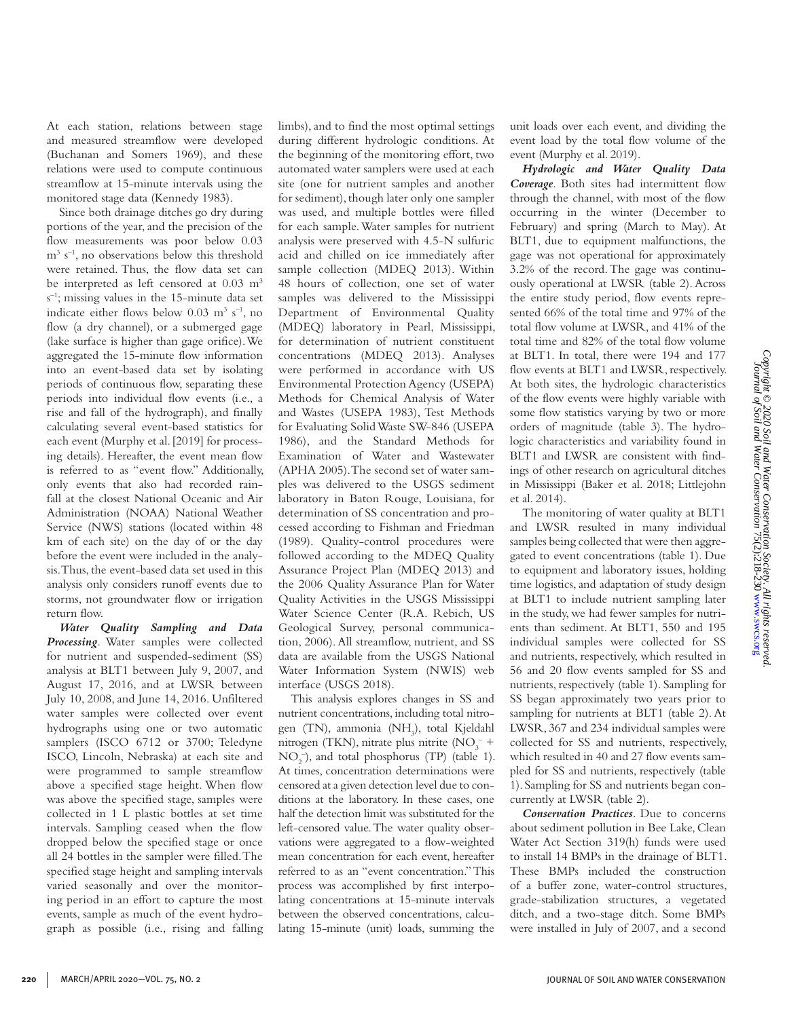At each station, relations between stage and measured streamflow were developed (Buchanan and Somers 1969), and these relations were used to compute continuous streamflow at 15-minute intervals using the monitored stage data (Kennedy 1983).

Since both drainage ditches go dry during portions of the year, and the precision of the flow measurements was poor below 0.03 m3 s–1, no observations below this threshold were retained. Thus, the flow data set can be interpreted as left censored at 0.03 m<sup>3</sup> s –1; missing values in the 15-minute data set indicate either flows below  $0.03 \text{ m}^3 \text{ s}^{-1}$ , no flow (a dry channel), or a submerged gage (lake surface is higher than gage orifice). We aggregated the 15-minute flow information into an event-based data set by isolating periods of continuous flow, separating these periods into individual flow events (i.e., a rise and fall of the hydrograph), and finally calculating several event-based statistics for each event (Murphy et al. [2019] for processing details). Hereafter, the event mean flow is referred to as "event flow." Additionally, only events that also had recorded rainfall at the closest National Oceanic and Air Administration (NOAA) National Weather Service (NWS) stations (located within 48 km of each site) on the day of or the day before the event were included in the analysis. Thus, the event-based data set used in this analysis only considers runoff events due to storms, not groundwater flow or irrigation return flow.

*Water Quality Sampling and Data Processing*. Water samples were collected for nutrient and suspended-sediment (SS) analysis at BLT1 between July 9, 2007, and August 17, 2016, and at LWSR between July 10, 2008, and June 14, 2016. Unfiltered water samples were collected over event hydrographs using one or two automatic samplers (ISCO 6712 or 3700; Teledyne ISCO, Lincoln, Nebraska) at each site and were programmed to sample streamflow above a specified stage height. When flow was above the specified stage, samples were collected in 1 L plastic bottles at set time intervals. Sampling ceased when the flow dropped below the specified stage or once all 24 bottles in the sampler were filled. The specified stage height and sampling intervals varied seasonally and over the monitoring period in an effort to capture the most events, sample as much of the event hydrograph as possible (i.e., rising and falling limbs), and to find the most optimal settings during different hydrologic conditions. At the beginning of the monitoring effort, two automated water samplers were used at each site (one for nutrient samples and another for sediment), though later only one sampler was used, and multiple bottles were filled for each sample. Water samples for nutrient analysis were preserved with 4.5-N sulfuric acid and chilled on ice immediately after sample collection (MDEQ 2013). Within 48 hours of collection, one set of water samples was delivered to the Mississippi Department of Environmental Quality (MDEQ) laboratory in Pearl, Mississippi, for determination of nutrient constituent concentrations (MDEQ 2013). Analyses were performed in accordance with US Environmental Protection Agency (USEPA) Methods for Chemical Analysis of Water and Wastes (USEPA 1983), Test Methods for Evaluating Solid Waste SW-846 (USEPA 1986), and the Standard Methods for Examination of Water and Wastewater (APHA 2005). The second set of water samples was delivered to the USGS sediment laboratory in Baton Rouge, Louisiana, for determination of SS concentration and processed according to Fishman and Friedman (1989). Quality-control procedures were followed according to the MDEQ Quality Assurance Project Plan (MDEQ 2013) and the 2006 Quality Assurance Plan for Water Quality Activities in the USGS Mississippi Water Science Center (R.A. Rebich, US Geological Survey, personal communication, 2006). All streamflow, nutrient, and SS data are available from the USGS National Water Information System (NWIS) web interface (USGS 2018).

This analysis explores changes in SS and nutrient concentrations, including total nitrogen (TN), ammonia (NH<sub>3</sub>), total Kjeldahl nitrogen (TKN), nitrate plus nitrite (NO<sub>3</sub><sup>-+</sup>  $NO<sub>2</sub><sup>-</sup>$ ), and total phosphorus (TP) (table 1). At times, concentration determinations were censored at a given detection level due to conditions at the laboratory. In these cases, one half the detection limit was substituted for the left-censored value. The water quality observations were aggregated to a flow-weighted mean concentration for each event, hereafter referred to as an "event concentration." This process was accomplished by first interpolating concentrations at 15-minute intervals between the observed concentrations, calculating 15-minute (unit) loads, summing the

unit loads over each event, and dividing the event load by the total flow volume of the event (Murphy et al. 2019).

*Hydrologic and Water Quality Data Coverage*. Both sites had intermittent flow through the channel, with most of the flow occurring in the winter (December to February) and spring (March to May). At BLT1, due to equipment malfunctions, the gage was not operational for approximately 3.2% of the record. The gage was continuously operational at LWSR (table 2). Across the entire study period, flow events represented 66% of the total time and 97% of the total flow volume at LWSR, and 41% of the total time and 82% of the total flow volume at BLT1. In total, there were 194 and 177 flow events at BLT1 and LWSR, respectively. At both sites, the hydrologic characteristics of the flow events were highly variable with some flow statistics varying by two or more orders of magnitude (table 3). The hydrologic characteristics and variability found in BLT1 and LWSR are consistent with findings of other research on agricultural ditches in Mississippi (Baker et al. 2018; Littlejohn et al. 2014).

The monitoring of water quality at BLT1 and LWSR resulted in many individual samples being collected that were then aggregated to event concentrations (table 1). Due to equipment and laboratory issues, holding time logistics, and adaptation of study design at BLT1 to include nutrient sampling later in the study, we had fewer samples for nutrients than sediment. At BLT1, 550 and 195 individual samples were collected for SS and nutrients, respectively, which resulted in 56 and 20 flow events sampled for SS and nutrients, respectively (table 1). Sampling for SS began approximately two years prior to sampling for nutrients at BLT1 (table 2). At LWSR, 367 and 234 individual samples were collected for SS and nutrients, respectively, which resulted in 40 and 27 flow events sampled for SS and nutrients, respectively (table 1). Sampling for SS and nutrients began concurrently at LWSR (table 2).

*Conservation Practices*. Due to concerns about sediment pollution in Bee Lake, Clean Water Act Section 319(h) funds were used to install 14 BMPs in the drainage of BLT1. These BMPs included the construction of a buffer zone, water-control structures, grade-stabilization structures, a vegetated ditch, and a two-stage ditch. Some BMPs were installed in July of 2007, and a second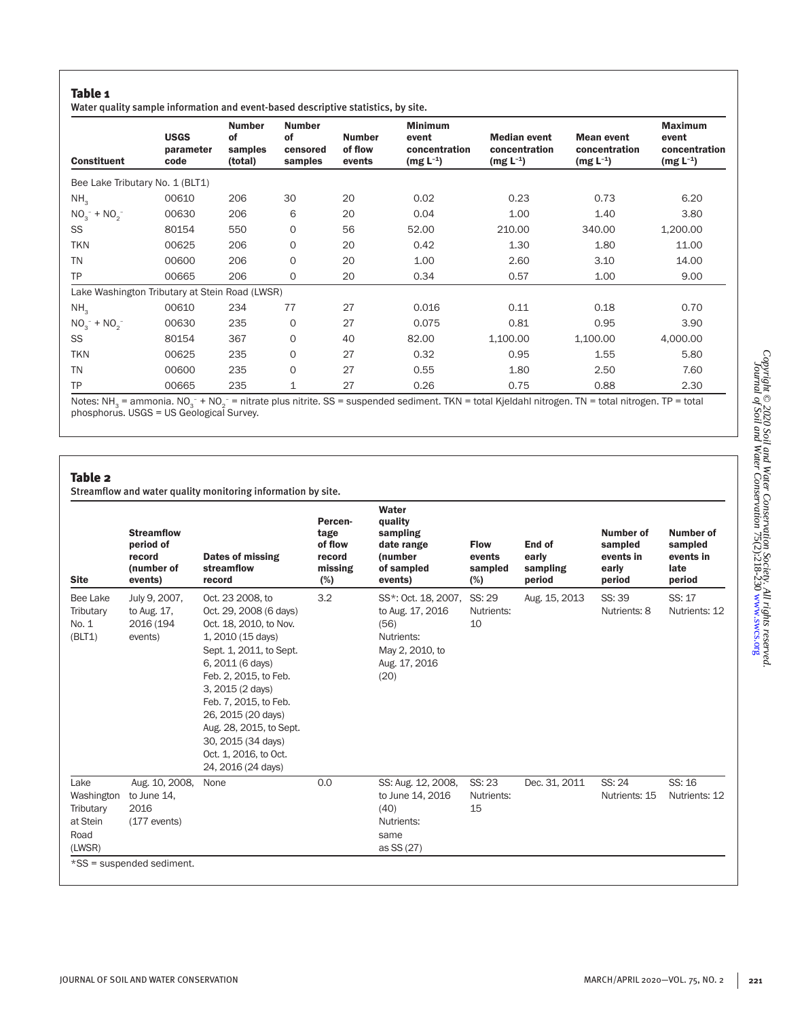# Table 1

|  |  | Water quality sample information and event-based descriptive statistics, by site. |  |  |  |
|--|--|-----------------------------------------------------------------------------------|--|--|--|
|  |  |                                                                                   |  |  |  |

| <b>Constituent</b>              | <b>USGS</b><br>parameter<br>code               | <b>Number</b><br><b>of</b><br>samples<br>(total) | <b>Number</b><br>οf<br>censored<br>samples | <b>Number</b><br>of flow<br>events | <b>Minimum</b><br>event<br>concentration<br>$(mg L^{-1})$ | <b>Median event</b><br>concentration<br>$(mg L^{-1})$ | <b>Mean event</b><br>concentration<br>$(mg L^{-1})$ | <b>Maximum</b><br>event<br>concentration<br>$(mg L^{-1})$ |
|---------------------------------|------------------------------------------------|--------------------------------------------------|--------------------------------------------|------------------------------------|-----------------------------------------------------------|-------------------------------------------------------|-----------------------------------------------------|-----------------------------------------------------------|
| Bee Lake Tributary No. 1 (BLT1) |                                                |                                                  |                                            |                                    |                                                           |                                                       |                                                     |                                                           |
| NH <sub>3</sub>                 | 00610                                          | 206                                              | 30                                         | 20                                 | 0.02                                                      | 0.23                                                  | 0.73                                                | 6.20                                                      |
| $NO_3^- + NO_2^-$               | 00630                                          | 206                                              | 6                                          | 20                                 | 0.04                                                      | 1.00                                                  | 1.40                                                | 3.80                                                      |
| SS                              | 80154                                          | 550                                              | $\mathbf 0$                                | 56                                 | 52.00                                                     | 210.00                                                | 340.00                                              | 1,200.00                                                  |
| <b>TKN</b>                      | 00625                                          | 206                                              | $\mathbf 0$                                | 20                                 | 0.42                                                      | 1.30                                                  | 1.80                                                | 11.00                                                     |
| <b>TN</b>                       | 00600                                          | 206                                              | $\Omega$                                   | 20                                 | 1.00                                                      | 2.60                                                  | 3.10                                                | 14.00                                                     |
| <b>TP</b>                       | 00665                                          | 206                                              | O                                          | 20                                 | 0.34                                                      | 0.57                                                  | 1.00                                                | 9.00                                                      |
|                                 | Lake Washington Tributary at Stein Road (LWSR) |                                                  |                                            |                                    |                                                           |                                                       |                                                     |                                                           |
| NH <sub>3</sub>                 | 00610                                          | 234                                              | 77                                         | 27                                 | 0.016                                                     | 0.11                                                  | 0.18                                                | 0.70                                                      |
| $NO_3^- + NO_2^-$               | 00630                                          | 235                                              | $\mathbf 0$                                | 27                                 | 0.075                                                     | 0.81                                                  | 0.95                                                | 3.90                                                      |
| SS                              | 80154                                          | 367                                              | $\Omega$                                   | 40                                 | 82.00                                                     | 1,100.00                                              | 1,100.00                                            | 4,000.00                                                  |
| <b>TKN</b>                      | 00625                                          | 235                                              | $\Omega$                                   | 27                                 | 0.32                                                      | 0.95                                                  | 1.55                                                | 5.80                                                      |
| <b>TN</b>                       | 00600                                          | 235                                              | $\Omega$                                   | 27                                 | 0.55                                                      | 1.80                                                  | 2.50                                                | 7.60                                                      |
| <b>TP</b>                       | 00665                                          | 235                                              | 1                                          | 27                                 | 0.26                                                      | 0.75                                                  | 0.88                                                | 2.30                                                      |

Notes: NH<sub>3</sub> = ammonia. NO<sub>3</sub> + NO<sub>2</sub> = nitra<br>phosphorus. USGS = US Geological Survey. – = nitrate plus nitrite. SS = suspended sediment. TKN = total Kjeldahl nitrogen. TN = total nitrogen. TP = total

## Table 2

Streamflow and water quality monitoring information by site.

| <b>Site</b>                                                   | <b>Streamflow</b><br>period of<br>record<br>(number of<br>events)                  | Dates of missing<br>streamflow<br>record                                                                                                                                                                                                                                                                                             | Percen-<br>tage<br>of flow<br>record<br>missing<br>(%) | Water<br>quality<br>sampling<br>date range<br>(number<br>of sampled<br>events)                                   | <b>Flow</b><br>events<br>sampled<br>(%) | End of<br>early<br>sampling<br>period | Number of<br>sampled<br>events in<br>early<br>period | Number of<br>sampled<br>events in<br>late<br>period |
|---------------------------------------------------------------|------------------------------------------------------------------------------------|--------------------------------------------------------------------------------------------------------------------------------------------------------------------------------------------------------------------------------------------------------------------------------------------------------------------------------------|--------------------------------------------------------|------------------------------------------------------------------------------------------------------------------|-----------------------------------------|---------------------------------------|------------------------------------------------------|-----------------------------------------------------|
| Bee Lake<br>Tributary<br>No. 1<br>(BLT1)                      | July 9, 2007,<br>to Aug. 17,<br>2016 (194<br>events)                               | Oct. 23 2008, to<br>Oct. 29, 2008 (6 days)<br>Oct. 18, 2010, to Nov.<br>1, 2010 (15 days)<br>Sept. 1, 2011, to Sept.<br>6, 2011 (6 days)<br>Feb. 2, 2015, to Feb.<br>3, 2015 (2 days)<br>Feb. 7, 2015, to Feb.<br>26, 2015 (20 days)<br>Aug. 28, 2015, to Sept.<br>30, 2015 (34 days)<br>Oct. 1, 2016, to Oct.<br>24, 2016 (24 days) | 3.2                                                    | SS*: Oct. 18, 2007, SS: 29<br>to Aug. 17, 2016<br>(56)<br>Nutrients:<br>May 2, 2010, to<br>Aug. 17, 2016<br>(20) | Nutrients:<br>10                        | Aug. 15, 2013                         | SS: 39<br>Nutrients: 8                               | SS: 17<br>Nutrients: 12                             |
| Lake<br>Washington<br>Tributary<br>at Stein<br>Road<br>(LWSR) | Aug. 10, 2008,<br>to June 14.<br>2016<br>(177 events)<br>*SS = suspended sediment. | None                                                                                                                                                                                                                                                                                                                                 | 0.0                                                    | SS: Aug. 12, 2008,<br>to June 14, 2016<br>(40)<br>Nutrients:<br>same<br>as SS (27)                               | SS: 23<br>Nutrients:<br>15              | Dec. 31, 2011                         | SS: 24<br>Nutrients: 15                              | SS: 16<br>Nutrients: 12                             |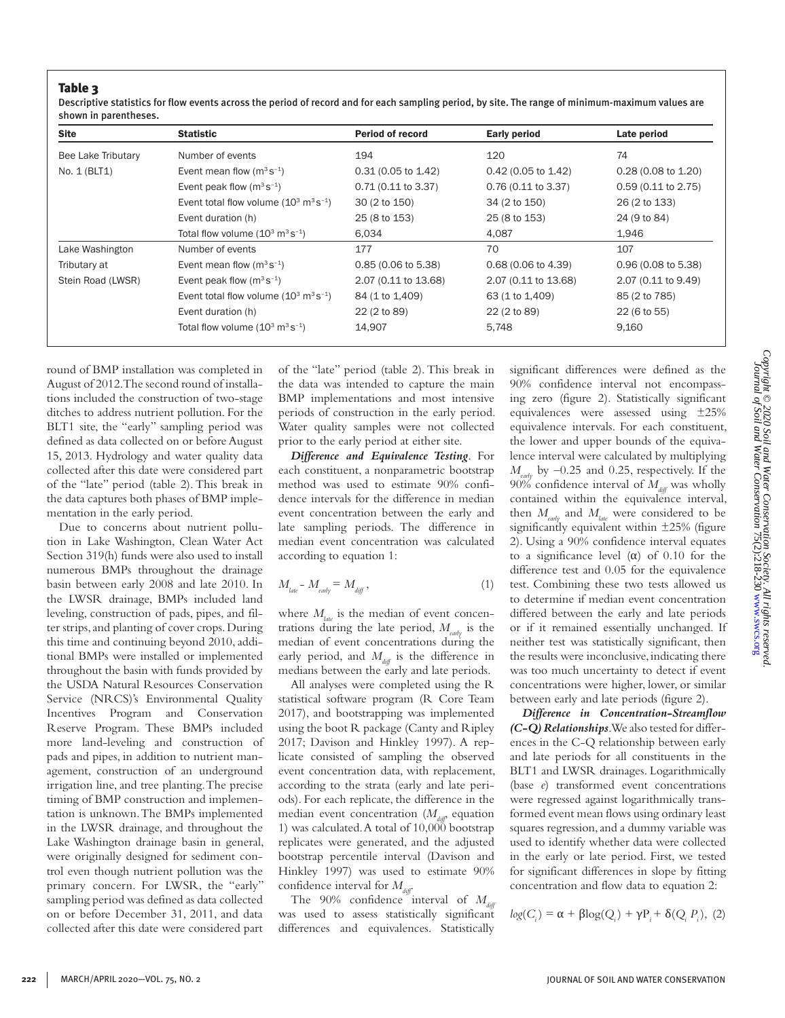Г

Descriptive statistics for flow events across the period of record and for each sampling period, by site. The range of minimum-maximum values are shown in parentheses.

| <b>Site</b>        | <b>Statistic</b>                                            | <b>Period of record</b> | <b>Early period</b>           | Late period                   |
|--------------------|-------------------------------------------------------------|-------------------------|-------------------------------|-------------------------------|
| Bee Lake Tributary | Number of events                                            | 194                     | 120                           | 74                            |
| No. 1 (BLT1)       | Event mean flow $(m^3 s^{-1})$                              | 0.31 (0.05 to 1.42)     | $0.42$ (0.05 to 1.42)         | $0.28(0.08 \text{ to } 1.20)$ |
|                    | Event peak flow $(m^3s^{-1})$                               | $0.71(0.11$ to 3.37)    | 0.76 (0.11 to 3.37)           | $0.59$ (0.11 to 2.75)         |
|                    | Event total flow volume $(10^3 \text{ m}^3 \text{ s}^{-1})$ | 30 (2 to 150)           | 34 (2 to 150)                 | 26 (2 to 133)                 |
|                    | Event duration (h)                                          | 25 (8 to 153)           | 25 (8 to 153)                 | 24 (9 to 84)                  |
|                    | Total flow volume $(10^3 \text{ m}^3 \text{ s}^{-1})$       | 6.034                   | 4.087                         | 1,946                         |
| Lake Washington    | Number of events                                            | 177                     | 70                            | 107                           |
| Tributary at       | Event mean flow $(m^3s^{-1})$                               | 0.85 (0.06 to 5.38)     | $0.68(0.06 \text{ to } 4.39)$ | $0.96(0.08 \text{ to } 5.38)$ |
| Stein Road (LWSR)  | Event peak flow $(m^3s^{-1})$                               | 2.07 (0.11 to 13.68)    | 2.07 (0.11 to 13.68)          | 2.07 (0.11 to 9.49)           |
|                    | Event total flow volume $(10^3 \text{ m}^3 \text{ s}^{-1})$ | 84 (1 to 1,409)         | 63 (1 to 1,409)               | 85 (2 to 785)                 |
|                    | Event duration (h)                                          | 22 (2 to 89)            | 22 (2 to 89)                  | 22 (6 to 55)                  |
|                    | Total flow volume $(10^3 \text{ m}^3 \text{ s}^{-1})$       | 14,907                  | 5,748                         | 9,160                         |

round of BMP installation was completed in August of 2012. The second round of installations included the construction of two-stage ditches to address nutrient pollution. For the BLT1 site, the "early" sampling period was defined as data collected on or before August 15, 2013. Hydrology and water quality data collected after this date were considered part of the "late" period (table 2). This break in the data captures both phases of BMP implementation in the early period.

Due to concerns about nutrient pollution in Lake Washington, Clean Water Act Section 319(h) funds were also used to install numerous BMPs throughout the drainage basin between early 2008 and late 2010. In the LWSR drainage, BMPs included land leveling, construction of pads, pipes, and filter strips, and planting of cover crops. During this time and continuing beyond 2010, additional BMPs were installed or implemented throughout the basin with funds provided by the USDA Natural Resources Conservation Service (NRCS)'s Environmental Quality Incentives Program and Conservation Reserve Program. These BMPs included more land-leveling and construction of pads and pipes, in addition to nutrient management, construction of an underground irrigation line, and tree planting. The precise timing of BMP construction and implementation is unknown. The BMPs implemented in the LWSR drainage, and throughout the Lake Washington drainage basin in general, were originally designed for sediment control even though nutrient pollution was the primary concern. For LWSR, the "early" sampling period was defined as data collected on or before December 31, 2011, and data collected after this date were considered part of the "late" period (table 2). This break in the data was intended to capture the main BMP implementations and most intensive periods of construction in the early period. Water quality samples were not collected prior to the early period at either site.

*Difference and Equivalence Testing*. For each constituent, a nonparametric bootstrap method was used to estimate 90% confidence intervals for the difference in median event concentration between the early and late sampling periods. The difference in median event concentration was calculated according to equation 1:

$$
M_{\text{late}} - M_{\text{early}} = M_{\text{diff}} \,, \tag{1}
$$

where  $M_{\text{data}}$  is the median of event concentrations during the late period,  $M_{\text{exch}}$  is the median of event concentrations during the early period, and  $M_{\text{diff}}$  is the difference in medians between the early and late periods.

All analyses were completed using the R statistical software program (R Core Team 2017), and bootstrapping was implemented using the boot R package (Canty and Ripley 2017; Davison and Hinkley 1997). A replicate consisted of sampling the observed event concentration data, with replacement, according to the strata (early and late periods). For each replicate, the difference in the median event concentration  $(M_{i\omega}$ , equation 1) was calculated. A total of 10,000 bootstrap replicates were generated, and the adjusted bootstrap percentile interval (Davison and Hinkley 1997) was used to estimate 90% confidence interval for  $M_{\text{diff}}$ .

The 90% confidence interval of  $M_{di\ddot{\theta}}$ was used to assess statistically significant differences and equivalences. Statistically significant differences were defined as the 90% confidence interval not encompassing zero (figure 2). Statistically significant equivalences were assessed using ±25% equivalence intervals. For each constituent, the lower and upper bounds of the equivalence interval were calculated by multiplying *Mearly* by –0.25 and 0.25, respectively. If the 90% confidence interval of  $M_{\text{air}}$  was wholly contained within the equivalence interval, then  $M_{\text{part}}$  and  $M_{\text{late}}$  were considered to be significantly equivalent within ±25% (figure 2). Using a 90% confidence interval equates to a significance level  $(\alpha)$  of 0.10 for the difference test and 0.05 for the equivalence test. Combining these two tests allowed us to determine if median event concentration differed between the early and late periods or if it remained essentially unchanged. If neither test was statistically significant, then the results were inconclusive, indicating there was too much uncertainty to detect if event concentrations were higher, lower, or similar between early and late periods (figure 2).

*Difference in Concentration-Streamflow (C-Q) Relationships*. We also tested for differences in the C-Q relationship between early and late periods for all constituents in the BLT1 and LWSR drainages. Logarithmically (base *e*) transformed event concentrations were regressed against logarithmically transformed event mean flows using ordinary least squares regression, and a dummy variable was used to identify whether data were collected in the early or late period. First, we tested for significant differences in slope by fitting concentration and flow data to equation 2:

$$
log(C_i) = \alpha + \beta log(Q_i) + \gamma P_i + \delta(Q_i P_i), (2)
$$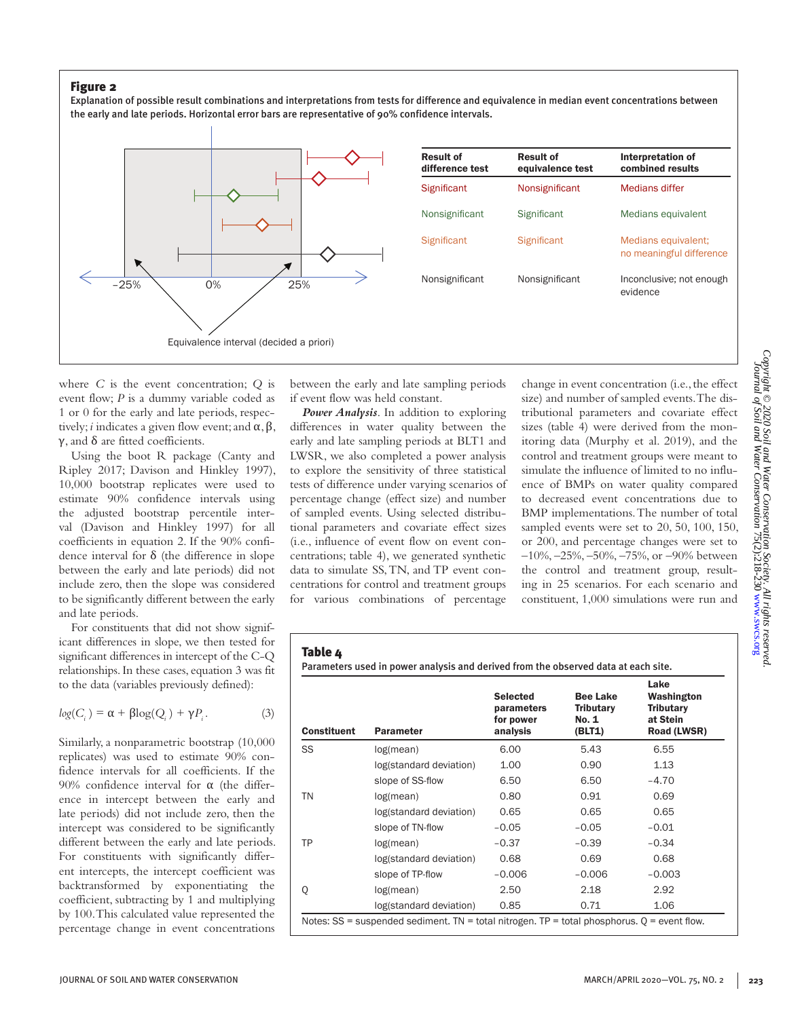Explanation of possible result combinations and interpretations from tests for difference and equivalence in median event concentrations between the early and late periods. Horizontal error bars are representative of 90% confidence intervals.



where *C* is the event concentration; *Q* is event flow; *P* is a dummy variable coded as 1 or 0 for the early and late periods, respectively; *i* indicates a given flow event; and  $\alpha$ ,  $\beta$ , γ, and  $δ$  are fitted coefficients.

Using the boot R package (Canty and Ripley 2017; Davison and Hinkley 1997), 10,000 bootstrap replicates were used to estimate 90% confidence intervals using the adjusted bootstrap percentile interval (Davison and Hinkley 1997) for all coefficients in equation 2. If the 90% confidence interval for δ (the difference in slope between the early and late periods) did not include zero, then the slope was considered to be significantly different between the early and late periods.

For constituents that did not show significant differences in slope, we then tested for significant differences in intercept of the C-Q relationships. In these cases, equation 3 was fit to the data (variables previously defined):

$$
log(C_i) = \alpha + \beta log(Q_i) + \gamma P_i.
$$
 (3)

Similarly, a nonparametric bootstrap (10,000 replicates) was used to estimate 90% confidence intervals for all coefficients. If the 90% confidence interval for  $\alpha$  (the difference in intercept between the early and late periods) did not include zero, then the intercept was considered to be significantly different between the early and late periods. For constituents with significantly different intercepts, the intercept coefficient was backtransformed by exponentiating the coefficient, subtracting by 1 and multiplying by 100. This calculated value represented the percentage change in event concentrations

between the early and late sampling periods if event flow was held constant.

*Power Analysis*. In addition to exploring differences in water quality between the early and late sampling periods at BLT1 and LWSR, we also completed a power analysis to explore the sensitivity of three statistical tests of difference under varying scenarios of percentage change (effect size) and number of sampled events. Using selected distributional parameters and covariate effect sizes (i.e., influence of event flow on event concentrations; table 4), we generated synthetic data to simulate SS, TN, and TP event concentrations for control and treatment groups for various combinations of percentage

change in event concentration (i.e., the effect size) and number of sampled events. The distributional parameters and covariate effect sizes (table 4) were derived from the monitoring data (Murphy et al. 2019), and the control and treatment groups were meant to simulate the influence of limited to no influence of BMPs on water quality compared to decreased event concentrations due to BMP implementations. The number of total sampled events were set to 20, 50, 100, 150, or 200, and percentage changes were set to –10%, –25%, –50%, –75%, or –90% between the control and treatment group, resulting in 25 scenarios. For each scenario and constituent, 1,000 simulations were run and

Parameters used in power analysis and derived from the observed data at each site.

| <b>Constituent</b> | <b>Parameter</b>                                                                                | <b>Selected</b><br>parameters<br>for power<br>analysis | <b>Bee Lake</b><br><b>Tributary</b><br>No. 1<br>(BLT1) | Lake<br>Washington<br><b>Tributary</b><br>at Stein<br>Road (LWSR) |
|--------------------|-------------------------------------------------------------------------------------------------|--------------------------------------------------------|--------------------------------------------------------|-------------------------------------------------------------------|
| SS                 | log(mean)                                                                                       | 6.00                                                   | 5.43                                                   | 6.55                                                              |
|                    | log(standard deviation)                                                                         | 1.00                                                   | 0.90                                                   | 1.13                                                              |
|                    | slope of SS-flow                                                                                | 6.50                                                   | 6.50                                                   | $-4.70$                                                           |
| TN                 | log(mean)                                                                                       | 0.80                                                   | 0.91                                                   | 0.69                                                              |
|                    | log(standard deviation)                                                                         | 0.65                                                   | 0.65                                                   | 0.65                                                              |
|                    | slope of TN-flow                                                                                | $-0.05$                                                | $-0.05$                                                | $-0.01$                                                           |
| <b>TP</b>          | log(mean)                                                                                       | $-0.37$                                                | $-0.39$                                                | $-0.34$                                                           |
|                    | log(standard deviation)                                                                         | 0.68                                                   | 0.69                                                   | 0.68                                                              |
|                    | slope of TP-flow                                                                                | $-0.006$                                               | $-0.006$                                               | $-0.003$                                                          |
| Q                  | log(mean)                                                                                       | 2.50                                                   | 2.18                                                   | 2.92                                                              |
|                    | log(standard deviation)                                                                         | 0.85                                                   | 0.71                                                   | 1.06                                                              |
|                    | Notes: $SS$ = suspended sediment. TN = total nitrogen. TP = total phosphorus. $Q$ = event flow. |                                                        |                                                        |                                                                   |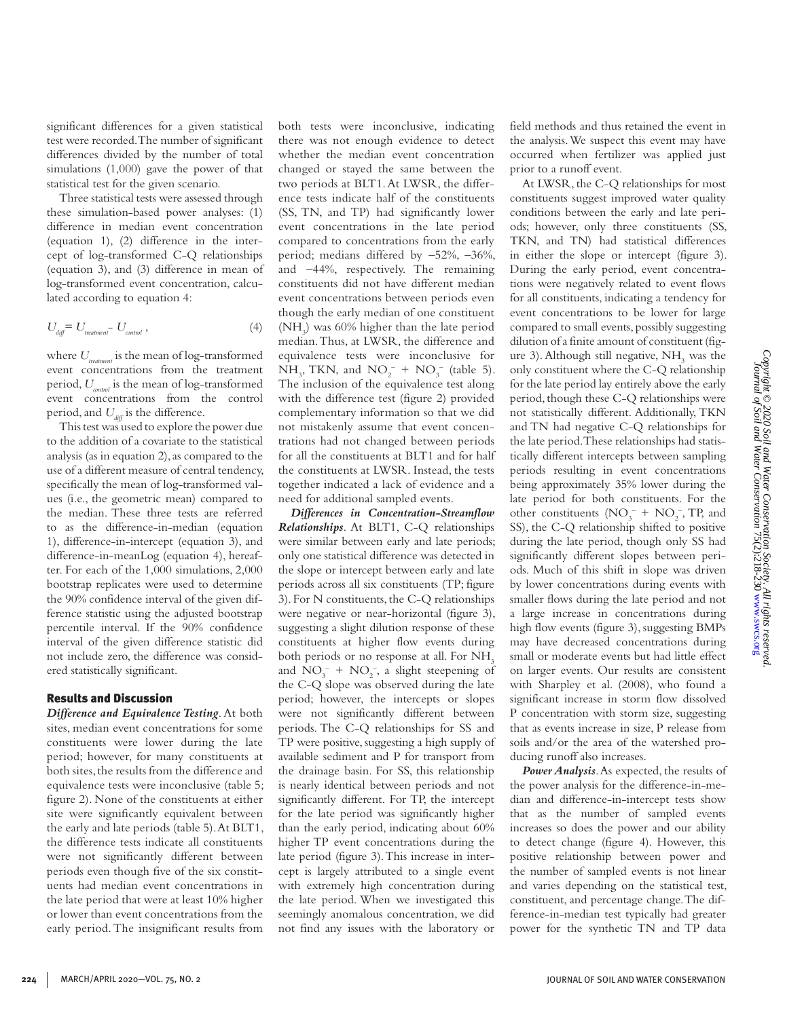significant differences for a given statistical test were recorded. The number of significant differences divided by the number of total simulations  $(1,000)$  gave the power of that statistical test for the given scenario. Three statistical tests were assessed through

these simulation-based power analyses: (1) difference in median event concentration (equation 1), (2) difference in the intercept of log-transformed C-Q relationships (equation 3), and (3) difference in mean of log-transformed event concentration, calculated according to equation 4:

$$
U_{\text{diff}} = U_{\text{treatment}} - U_{\text{control}} \,, \tag{4}
$$

where  $U_{\text{treatment}}$  is the mean of log-transformed event concentrations from the treatment period, *Ucontrol* is the mean of log-transformed event concentrations from the control period, and  $U_{\text{diff}}$  is the difference.

This test was used to explore the power due to the addition of a covariate to the statistical analysis (as in equation 2), as compared to the use of a different measure of central tendency, specifically the mean of log-transformed values (i.e., the geometric mean) compared to the median. These three tests are referred to as the difference-in-median (equation 1), difference-in-intercept (equation 3), and difference-in-meanLog (equation 4), hereafter. For each of the 1,000 simulations, 2,000 bootstrap replicates were used to determine the 90% confidence interval of the given difference statistic using the adjusted bootstrap percentile interval. If the 90% confidence interval of the given difference statistic did not include zero, the difference was considered statistically significant.

## Results and Discussion

*Difference and Equivalence Testing*. At both sites, median event concentrations for some constituents were lower during the late period; however, for many constituents at both sites, the results from the difference and equivalence tests were inconclusive (table 5; figure 2). None of the constituents at either site were significantly equivalent between the early and late periods (table 5). At BLT1, the difference tests indicate all constituents were not significantly different between periods even though five of the six constituents had median event concentrations in the late period that were at least 10% higher or lower than event concentrations from the early period. The insignificant results from both tests were inconclusive, indicating there was not enough evidence to detect whether the median event concentration changed or stayed the same between the two periods at BLT1. At LWSR, the difference tests indicate half of the constituents (SS, TN, and TP) had significantly lower event concentrations in the late period compared to concentrations from the early period; medians differed by –52%, –36%, and –44%, respectively. The remaining constituents did not have different median event concentrations between periods even though the early median of one constituent (NH3 ) was 60% higher than the late period median. Thus, at LWSR, the difference and equivalence tests were inconclusive for  $NH_3$ , TKN, and  $NO_2^- + NO_3^-$  (table 5). The inclusion of the equivalence test along with the difference test (figure 2) provided complementary information so that we did not mistakenly assume that event concentrations had not changed between periods for all the constituents at BLT1 and for half the constituents at LWSR. Instead, the tests together indicated a lack of evidence and a need for additional sampled events.

*Differences in Concentration-Streamflow Relationships*. At BLT1, C-Q relationships were similar between early and late periods; only one statistical difference was detected in the slope or intercept between early and late periods across all six constituents (TP; figure 3). For N constituents, the C-Q relationships were negative or near-horizontal (figure 3), suggesting a slight dilution response of these constituents at higher flow events during both periods or no response at all. For  $NH<sub>3</sub>$ and  $NO_3^- + NO_2^-$ , a slight steepening of the C-Q slope was observed during the late period; however, the intercepts or slopes were not significantly different between periods. The C-Q relationships for SS and TP were positive, suggesting a high supply of available sediment and P for transport from the drainage basin. For SS, this relationship is nearly identical between periods and not significantly different. For TP, the intercept for the late period was significantly higher than the early period, indicating about 60% higher TP event concentrations during the late period (figure 3). This increase in intercept is largely attributed to a single event with extremely high concentration during the late period. When we investigated this seemingly anomalous concentration, we did not find any issues with the laboratory or

field methods and thus retained the event in the analysis. We suspect this event may have occurred when fertilizer was applied just prior to a runoff event.

At LWSR, the C-Q relationships for most constituents suggest improved water quality conditions between the early and late periods; however, only three constituents (SS, TKN, and TN) had statistical differences in either the slope or intercept (figure 3). During the early period, event concentrations were negatively related to event flows for all constituents, indicating a tendency for event concentrations to be lower for large compared to small events, possibly suggesting dilution of a finite amount of constituent (figure 3). Although still negative,  $NH<sub>3</sub>$  was the only constituent where the C-Q relationship for the late period lay entirely above the early period, though these C-Q relationships were not statistically different. Additionally, TKN and TN had negative C-Q relationships for the late period. These relationships had statistically different intercepts between sampling periods resulting in event concentrations being approximately 35% lower during the late period for both constituents. For the other constituents  $(NO<sub>3</sub><sup>-</sup> + NO<sub>2</sub><sup>-</sup>, TP, and)$ SS), the C-Q relationship shifted to positive during the late period, though only SS had significantly different slopes between periods. Much of this shift in slope was driven by lower concentrations during events with smaller flows during the late period and not a large increase in concentrations during high flow events (figure 3), suggesting BMPs may have decreased concentrations during small or moderate events but had little effect on larger events. Our results are consistent with Sharpley et al. (2008), who found a significant increase in storm flow dissolved P concentration with storm size, suggesting that as events increase in size, P release from soils and/or the area of the watershed producing runoff also increases.

*Power Analysis*. As expected, the results of the power analysis for the difference-in-median and difference-in-intercept tests show that as the number of sampled events increases so does the power and our ability to detect change (figure 4). However, this positive relationship between power and the number of sampled events is not linear and varies depending on the statistical test, constituent, and percentage change. The difference-in-median test typically had greater power for the synthetic TN and TP data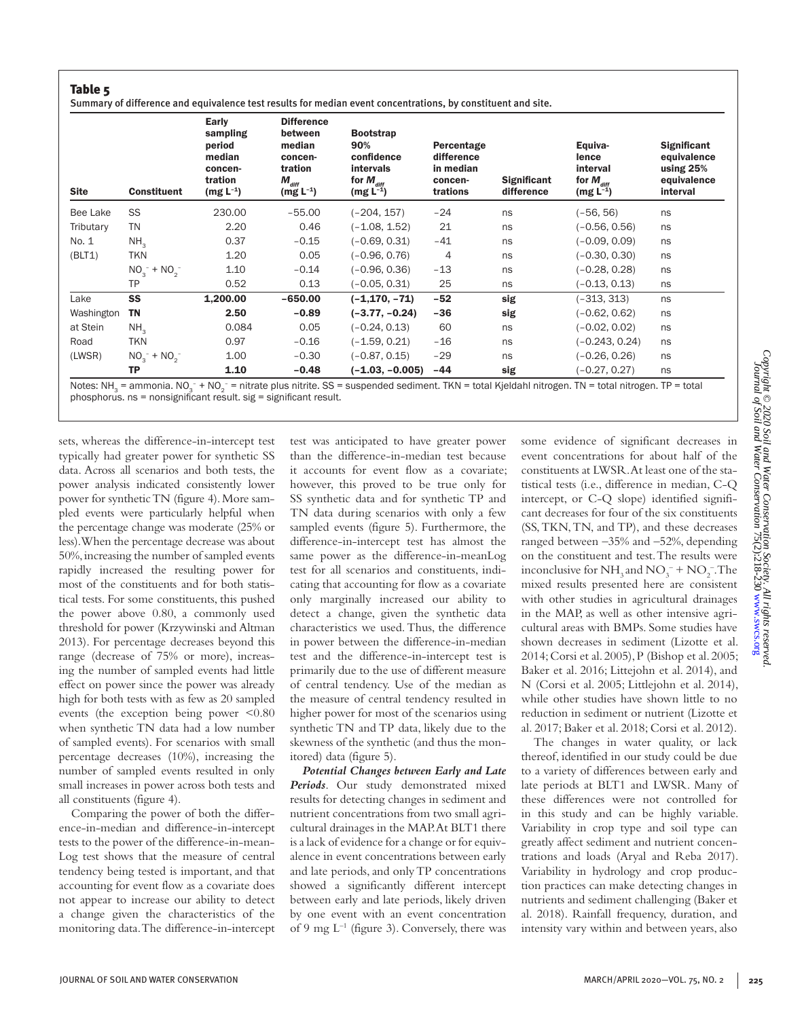#### Table 5 Summary of difference and equivalence test results for median event concentrations, by constituent and site.

| <b>Site</b> | <b>Constituent</b> | Early<br>sampling<br>period<br>median<br>concen-<br>tration<br>$(mg L^{-1})$ | <b>Difference</b><br>between<br>median<br>concen-<br>tration<br>$M_{\text{diff}}$<br>$(mg L^{-1})$ | <b>Bootstrap</b><br>90%<br>confidence<br><b>intervals</b><br>for $M_{\text{diff}}$<br>$(mg L^{-1})$ | Percentage<br>difference<br>in median<br>concen-<br>trations | <b>Significant</b><br>difference | Equiva-<br>lence<br>interval<br>for $M_{\text{diff}}$<br>$(mg L^{-1})$ | <b>Significant</b><br>equivalence<br>using $25%$<br>equivalence<br>interval |
|-------------|--------------------|------------------------------------------------------------------------------|----------------------------------------------------------------------------------------------------|-----------------------------------------------------------------------------------------------------|--------------------------------------------------------------|----------------------------------|------------------------------------------------------------------------|-----------------------------------------------------------------------------|
| Bee Lake    | SS                 | 230.00                                                                       | $-55.00$                                                                                           | (–204, 157)                                                                                         | $-24$                                                        | ns                               | (–56. 56)                                                              | ns                                                                          |
| Tributary   | <b>TN</b>          | 2.20                                                                         | 0.46                                                                                               | $(-1.08, 1.52)$                                                                                     | 21                                                           | ns                               | $(-0.56, 0.56)$                                                        | ns                                                                          |
| No. 1       | NH <sub>3</sub>    | 0.37                                                                         | $-0.15$                                                                                            | $(-0.69, 0.31)$                                                                                     | $-41$                                                        | ns                               | (-0.09, 0.09)                                                          | ns                                                                          |
| (BLT1)      | <b>TKN</b>         | 1.20                                                                         | 0.05                                                                                               | $(-0.96, 0.76)$                                                                                     | 4                                                            | ns                               | $(-0.30, 0.30)$                                                        | ns                                                                          |
|             | $NO_3^- + NO_2^-$  | 1.10                                                                         | $-0.14$                                                                                            | $(-0.96, 0.36)$                                                                                     | $-13$                                                        | ns                               | $(-0.28, 0.28)$                                                        | ns                                                                          |
|             | ТP                 | 0.52                                                                         | 0.13                                                                                               | (-0.05, 0.31)                                                                                       | 25                                                           | ns                               | (-0.13, 0.13)                                                          | ns                                                                          |
| Lake        | SS                 | 1,200.00                                                                     | $-650.00$                                                                                          | $(-1, 170, -71)$                                                                                    | $-52$                                                        | sig                              | $(-313, 313)$                                                          | ns                                                                          |
| Washington  | <b>TN</b>          | 2.50                                                                         | $-0.89$                                                                                            | (–3.77. –0.24)                                                                                      | $-36$                                                        | sig                              | $(-0.62, 0.62)$                                                        | ns                                                                          |
| at Stein    | NH <sub>2</sub>    | 0.084                                                                        | 0.05                                                                                               | $(-0.24, 0.13)$                                                                                     | 60                                                           | ns                               | $(-0.02, 0.02)$                                                        | ns                                                                          |
| Road        | TKN                | 0.97                                                                         | $-0.16$                                                                                            | $(-1.59, 0.21)$                                                                                     | $-16$                                                        | ns                               | $(-0.243, 0.24)$                                                       | ns                                                                          |
| (LWSR)      | $NO2- + NO2-$      | 1.00                                                                         | $-0.30$                                                                                            | $(-0.87, 0.15)$                                                                                     | $-29$                                                        | ns                               | $(-0.26, 0.26)$                                                        | ns                                                                          |
|             | <b>TP</b>          | 1.10                                                                         | $-0.48$                                                                                            | (-1.03, -0.005)                                                                                     | $-44$                                                        | sig                              | $(-0.27, 0.27)$                                                        | ns                                                                          |

Notes: NH<sub>3</sub> = ammonia. NO<sub>3</sub> + NO<sub>2</sub> = nitrate plus nitrite. SS =<br>phosphorus. ns = nonsignificant result. sig = significant result. – = nitrate plus nitrite. SS = suspended sediment. TKN = total Kjeldahl nitrogen. TN = total nitrogen. TP = total

sets, whereas the difference-in-intercept test typically had greater power for synthetic SS data. Across all scenarios and both tests, the power analysis indicated consistently lower power for synthetic TN (figure 4). More sampled events were particularly helpful when the percentage change was moderate (25% or less). When the percentage decrease was about 50%, increasing the number of sampled events rapidly increased the resulting power for most of the constituents and for both statistical tests. For some constituents, this pushed the power above 0.80, a commonly used threshold for power (Krzywinski and Altman 2013). For percentage decreases beyond this range (decrease of 75% or more), increasing the number of sampled events had little effect on power since the power was already high for both tests with as few as 20 sampled events (the exception being power <0.80 when synthetic TN data had a low number of sampled events). For scenarios with small percentage decreases (10%), increasing the number of sampled events resulted in only small increases in power across both tests and all constituents (figure 4).

Comparing the power of both the difference-in-median and difference-in-intercept tests to the power of the difference-in-mean-Log test shows that the measure of central tendency being tested is important, and that accounting for event flow as a covariate does not appear to increase our ability to detect a change given the characteristics of the monitoring data. The difference-in-intercept test was anticipated to have greater power than the difference-in-median test because it accounts for event flow as a covariate; however, this proved to be true only for SS synthetic data and for synthetic TP and TN data during scenarios with only a few sampled events (figure 5). Furthermore, the difference-in-intercept test has almost the same power as the difference-in-meanLog test for all scenarios and constituents, indicating that accounting for flow as a covariate only marginally increased our ability to detect a change, given the synthetic data characteristics we used. Thus, the difference in power between the difference-in-median test and the difference-in-intercept test is primarily due to the use of different measure of central tendency. Use of the median as the measure of central tendency resulted in higher power for most of the scenarios using synthetic TN and TP data, likely due to the skewness of the synthetic (and thus the monitored) data (figure 5).

*Potential Changes between Early and Late Periods*. Our study demonstrated mixed results for detecting changes in sediment and nutrient concentrations from two small agricultural drainages in the MAP. At BLT1 there is a lack of evidence for a change or for equivalence in event concentrations between early and late periods, and only TP concentrations showed a significantly different intercept between early and late periods, likely driven by one event with an event concentration of 9 mg  $L^{-1}$  (figure 3). Conversely, there was some evidence of significant decreases in event concentrations for about half of the constituents at LWSR. At least one of the statistical tests (i.e., difference in median, C-Q intercept, or C-Q slope) identified significant decreases for four of the six constituents (SS, TKN, TN, and TP), and these decreases ranged between –35% and –52%, depending on the constituent and test. The results were inconclusive for  $NH_3$  and  $NO_3^- + NO_2^-$ . The mixed results presented here are consistent with other studies in agricultural drainages in the MAP, as well as other intensive agricultural areas with BMPs. Some studies have shown decreases in sediment (Lizotte et al. 2014; Corsi et al. 2005), P (Bishop et al. 2005; Baker et al. 2016; Littejohn et al. 2014), and N (Corsi et al. 2005; Littlejohn et al. 2014), while other studies have shown little to no reduction in sediment or nutrient (Lizotte et al. 2017; Baker et al. 2018; Corsi et al. 2012).

The changes in water quality, or lack thereof, identified in our study could be due to a variety of differences between early and late periods at BLT1 and LWSR. Many of these differences were not controlled for in this study and can be highly variable. Variability in crop type and soil type can greatly affect sediment and nutrient concentrations and loads (Aryal and Reba 2017). Variability in hydrology and crop production practices can make detecting changes in nutrients and sediment challenging (Baker et al. 2018). Rainfall frequency, duration, and intensity vary within and between years, also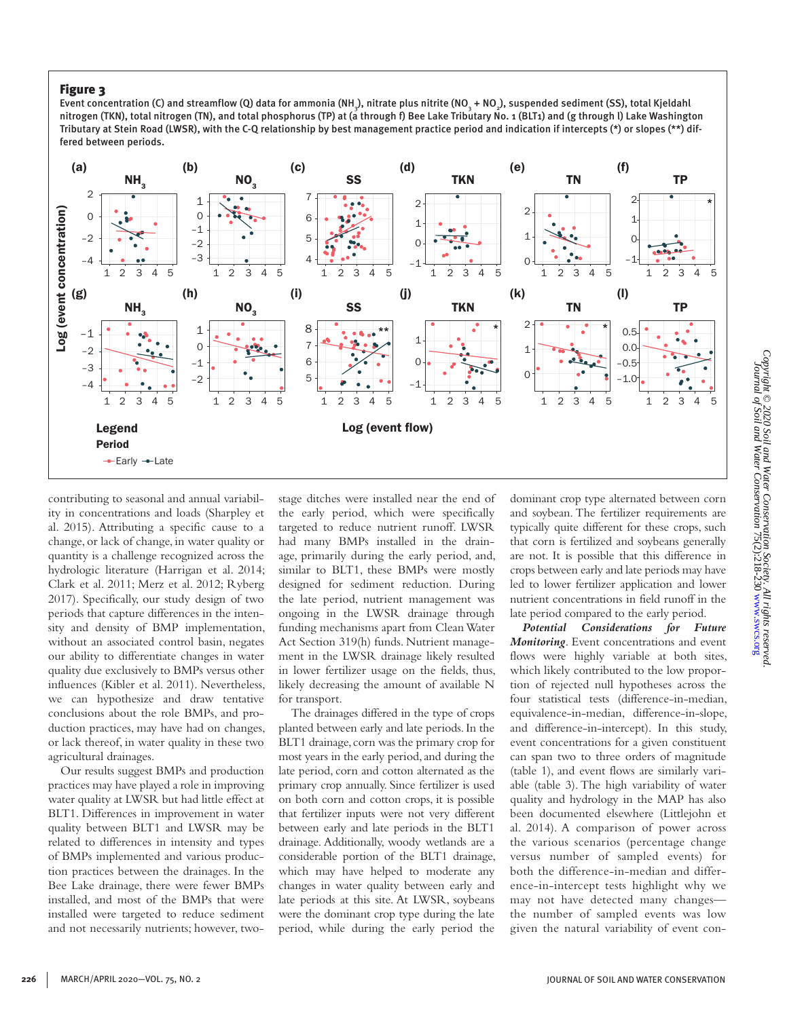Event concentration (C) and streamflow (Q) data for ammonia (NH<sub>3</sub>), nitrate plus nitrite (NO<sub>3</sub> + NO<sub>2</sub>), suspended sediment (SS), total Kjeldahl nitrogen (TKN), total nitrogen (TN), and total phosphorus (TP) at (a through f) Bee Lake Tributary No. 1 (BLT1) and (g through l) Lake Washington Tributary at Stein Road (LWSR), with the C-Q relationship by best management practice period and indication if intercepts (\*) or slopes (\*\*) differed between periods.



contributing to seasonal and annual variability in concentrations and loads (Sharpley et al. 2015). Attributing a specific cause to a change, or lack of change, in water quality or quantity is a challenge recognized across the hydrologic literature (Harrigan et al. 2014; Clark et al. 2011; Merz et al. 2012; Ryberg 2017). Specifically, our study design of two periods that capture differences in the intensity and density of BMP implementation, without an associated control basin, negates our ability to differentiate changes in water quality due exclusively to BMPs versus other influences (Kibler et al. 2011). Nevertheless, we can hypothesize and draw tentative conclusions about the role BMPs, and production practices, may have had on changes, or lack thereof, in water quality in these two agricultural drainages.

Our results suggest BMPs and production practices may have played a role in improving water quality at LWSR but had little effect at BLT1. Differences in improvement in water quality between BLT1 and LWSR may be related to differences in intensity and types of BMPs implemented and various production practices between the drainages. In the Bee Lake drainage, there were fewer BMPs installed, and most of the BMPs that were installed were targeted to reduce sediment and not necessarily nutrients; however, twostage ditches were installed near the end of the early period, which were specifically targeted to reduce nutrient runoff. LWSR had many BMPs installed in the drainage, primarily during the early period, and, similar to BLT1, these BMPs were mostly designed for sediment reduction. During the late period, nutrient management was ongoing in the LWSR drainage through funding mechanisms apart from Clean Water Act Section 319(h) funds. Nutrient management in the LWSR drainage likely resulted in lower fertilizer usage on the fields, thus, likely decreasing the amount of available N for transport.

The drainages differed in the type of crops planted between early and late periods. In the BLT1 drainage, corn was the primary crop for most years in the early period, and during the late period, corn and cotton alternated as the primary crop annually. Since fertilizer is used on both corn and cotton crops, it is possible that fertilizer inputs were not very different between early and late periods in the BLT1 drainage. Additionally, woody wetlands are a considerable portion of the BLT1 drainage, which may have helped to moderate any changes in water quality between early and late periods at this site. At LWSR, soybeans were the dominant crop type during the late period, while during the early period the

dominant crop type alternated between corn and soybean. The fertilizer requirements are typically quite different for these crops, such that corn is fertilized and soybeans generally are not. It is possible that this difference in crops between early and late periods may have led to lower fertilizer application and lower nutrient concentrations in field runoff in the late period compared to the early period.

*Potential Considerations for Future Monitoring*. Event concentrations and event flows were highly variable at both sites, which likely contributed to the low proportion of rejected null hypotheses across the four statistical tests (difference-in-median, equivalence-in-median, difference-in-slope, and difference-in-intercept). In this study, event concentrations for a given constituent can span two to three orders of magnitude (table 1), and event flows are similarly variable (table 3). The high variability of water quality and hydrology in the MAP has also been documented elsewhere (Littlejohn et al. 2014). A comparison of power across the various scenarios (percentage change versus number of sampled events) for both the difference-in-median and difference-in-intercept tests highlight why we may not have detected many changes the number of sampled events was low given the natural variability of event con-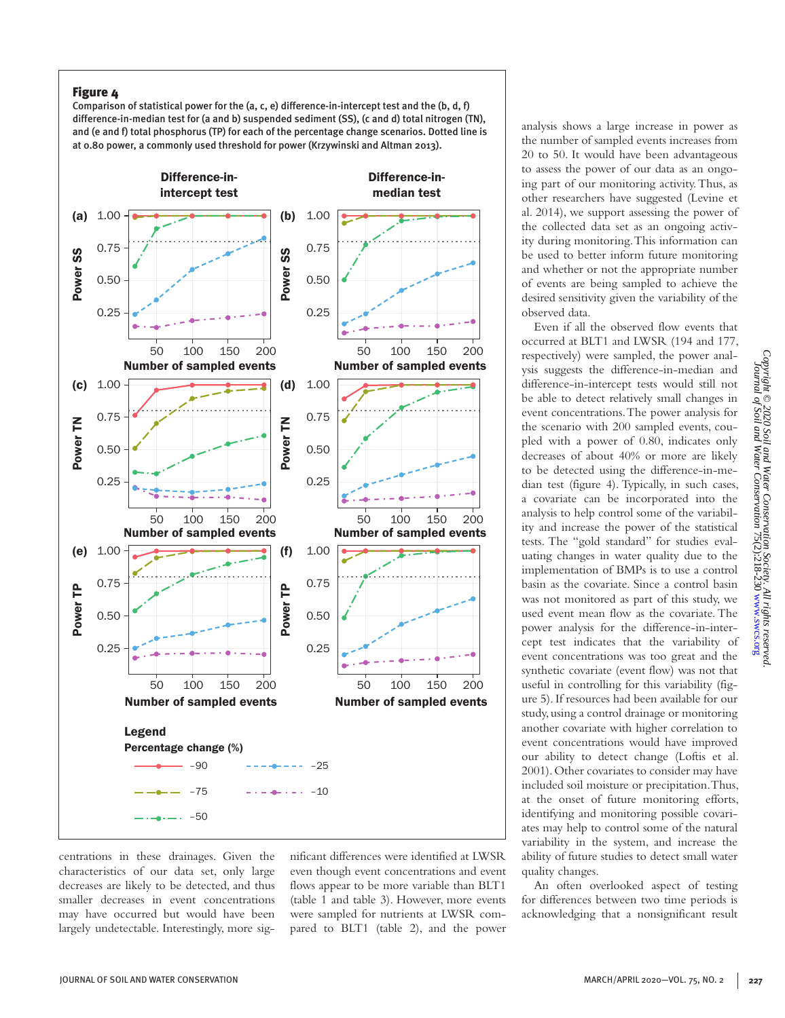Comparison of statistical power for the (a, c, e) difference-in-intercept test and the (b, d, f) difference-in-median test for (a and b) suspended sediment (SS), (c and d) total nitrogen (TN), and (e and f) total phosphorus (TP) for each of the percentage change scenarios. Dotted line is at 0.80 power, a commonly used threshold for power (Krzywinski and Altman 2013).



centrations in these drainages. Given the characteristics of our data set, only large decreases are likely to be detected, and thus smaller decreases in event concentrations may have occurred but would have been largely undetectable. Interestingly, more significant differences were identified at LWSR even though event concentrations and event flows appear to be more variable than BLT1 (table 1 and table 3). However, more events were sampled for nutrients at LWSR compared to BLT1 (table 2), and the power

analysis shows a large increase in power as the number of sampled events increases from 20 to 50. It would have been advantageous to assess the power of our data as an ongoing part of our monitoring activity. Thus, as other researchers have suggested (Levine et al. 2014), we support assessing the power of the collected data set as an ongoing activity during monitoring. This information can be used to better inform future monitoring and whether or not the appropriate number of events are being sampled to achieve the desired sensitivity given the variability of the observed data.

Even if all the observed flow events that occurred at BLT1 and LWSR (194 and 177, respectively) were sampled, the power analysis suggests the difference-in-median and difference-in-intercept tests would still not be able to detect relatively small changes in event concentrations. The power analysis for the scenario with 200 sampled events, coupled with a power of 0.80, indicates only decreases of about 40% or more are likely to be detected using the difference-in-median test (figure 4). Typically, in such cases, a covariate can be incorporated into the analysis to help control some of the variability and increase the power of the statistical tests. The "gold standard" for studies evaluating changes in water quality due to the implementation of BMPs is to use a control basin as the covariate. Since a control basin was not monitored as part of this study, we used event mean flow as the covariate. The power analysis for the difference-in-intercept test indicates that the variability of event concentrations was too great and the synthetic covariate (event flow) was not that useful in controlling for this variability (figure 5). If resources had been available for our study, using a control drainage or monitoring another covariate with higher correlation to event concentrations would have improved our ability to detect change (Loftis et al. 2001). Other covariates to consider may have included soil moisture or precipitation. Thus, at the onset of future monitoring efforts, identifying and monitoring possible covariates may help to control some of the natural variability in the system, and increase the ability of future studies to detect small water quality changes.

An often overlooked aspect of testing for differences between two time periods is acknowledging that a nonsignificant result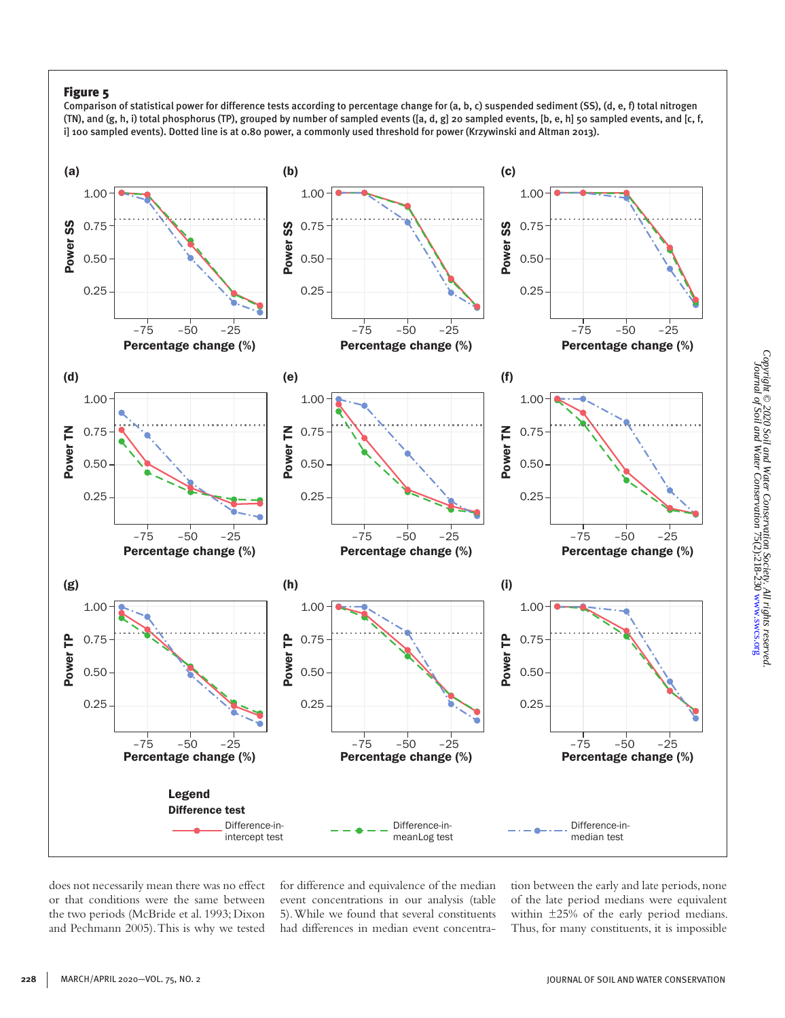Comparison of statistical power for difference tests according to percentage change for (a, b, c) suspended sediment (SS), (d, e, f) total nitrogen (TN), and (g, h, i) total phosphorus (TP), grouped by number of sampled events ([a, d, g] 20 sampled events, [b, e, h] 50 sampled events, and [c, f, i] 100 sampled events). Dotted line is at 0.80 power, a commonly used threshold for power (Krzywinski and Altman 2013).



does not necessarily mean there was no effect or that conditions were the same between the two periods (McBride et al. 1993; Dixon and Pechmann 2005). This is why we tested

for difference and equivalence of the median event concentrations in our analysis (table 5). While we found that several constituents had differences in median event concentration between the early and late periods, none of the late period medians were equivalent within ±25% of the early period medians. Thus, for many constituents, it is impossible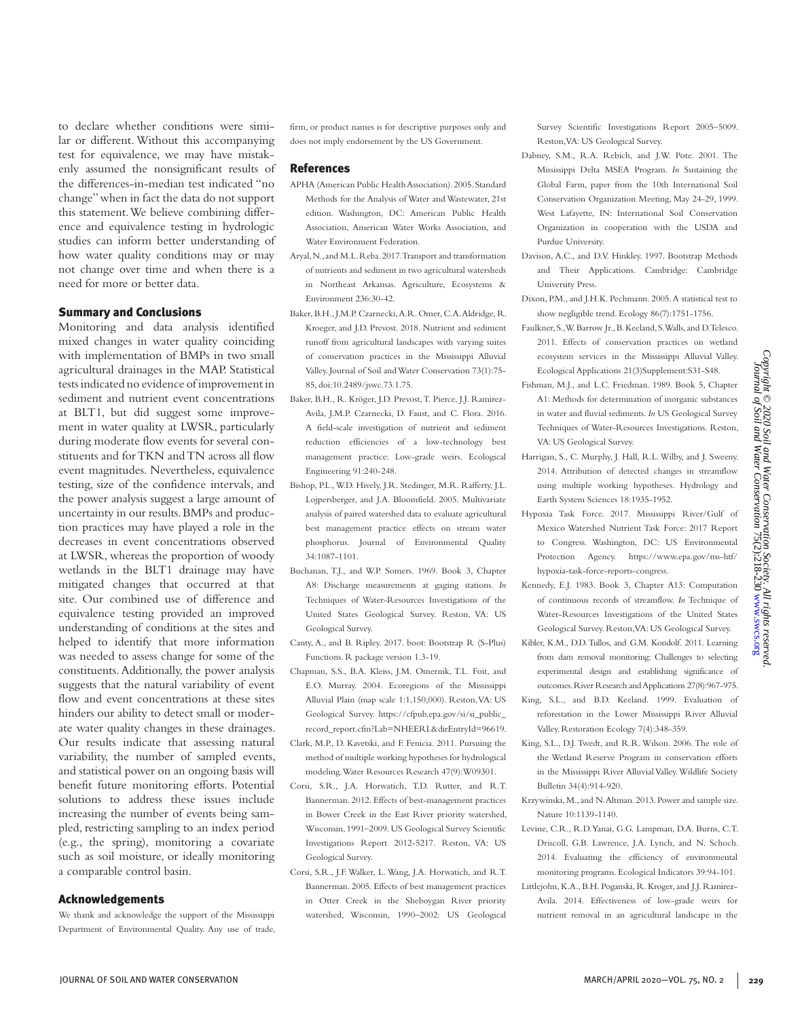to declare whether conditions were similar or different. Without this accompanying test for equivalence, we may have mistakenly assumed the nonsignificant results of the differences-in-median test indicated "no change" when in fact the data do not support this statement. We believe combining difference and equivalence testing in hydrologic studies can inform better understanding of how water quality conditions may or may not change over time and when there is a need for more or better data.

#### Summary and Conclusions

Monitoring and data analysis identified mixed changes in water quality coinciding with implementation of BMPs in two small agricultural drainages in the MAP. Statistical tests indicated no evidence of improvement in sediment and nutrient event concentrations at BLT1, but did suggest some improvement in water quality at LWSR, particularly during moderate flow events for several constituents and for TKN and TN across all flow event magnitudes. Nevertheless, equivalence testing, size of the confidence intervals, and the power analysis suggest a large amount of uncertainty in our results. BMPs and production practices may have played a role in the decreases in event concentrations observed at LWSR, whereas the proportion of woody wetlands in the BLT1 drainage may have mitigated changes that occurred at that site. Our combined use of difference and equivalence testing provided an improved understanding of conditions at the sites and helped to identify that more information was needed to assess change for some of the constituents. Additionally, the power analysis suggests that the natural variability of event flow and event concentrations at these sites hinders our ability to detect small or moderate water quality changes in these drainages. Our results indicate that assessing natural variability, the number of sampled events, and statistical power on an ongoing basis will benefit future monitoring efforts. Potential solutions to address these issues include increasing the number of events being sampled, restricting sampling to an index period (e.g., the spring), monitoring a covariate such as soil moisture, or ideally monitoring a comparable control basin.

#### Acknowledgements

We thank and acknowledge the support of the Mississippi Department of Environmental Quality. Any use of trade, firm, or product names is for descriptive purposes only and does not imply endorsement by the US Government.

#### References

- APHA (American Public Health Association). 2005. Standard Methods for the Analysis of Water and Wastewater, 21st edition. Washington, DC: American Public Health Association, American Water Works Association, and Water Environment Federation.
- Aryal, N., and M.L. Reba. 2017. Transport and transformation of nutrients and sediment in two agricultural watersheds in Northeast Arkansas. Agriculture, Ecosystems & Environment 236:30-42.
- Baker, B.H., J.M.P. Czarnecki, A.R. Omer, C.A. Aldridge, R. Kroeger, and J.D. Prevost. 2018. Nutrient and sediment runoff from agricultural landscapes with varying suites of conservation practices in the Mississippi Alluvial Valley. Journal of Soil and Water Conservation 73(1):75- 85, doi:10.2489/jswc.73.1.75.
- Baker, B.H., R. Kröger, J.D. Prevost, T. Pierce, J.J. Ramirez-Avila, J.M.P. Czarnecki, D. Faust, and C. Flora. 2016. A field-scale investigation of nutrient and sediment reduction efficiencies of a low-technology best management practice: Low-grade weirs. Ecological Engineering 91:240-248.
- Bishop, P.L., W.D. Hively, J.R. Stedinger, M.R. Rafferty, J.L. Lojpersberger, and J.A. Bloomfield. 2005. Multivariate analysis of paired watershed data to evaluate agricultural best management practice effects on stream water phosphorus. Journal of Environmental Quality 34:1087-1101.
- Buchanan, T.J., and W.P. Somers. 1969. Book 3, Chapter A8: Discharge measurements at gaging stations. *In*  Techniques of Water-Resources Investigations of the United States Geological Survey. Reston, VA: US Geological Survey.
- Canty, A., and B. Ripley. 2017. boot: Bootstrap R (S-Plus) Functions. R package version 1.3-19.
- Chapman, S.S., B.A. Kleiss, J.M. Omernik, T.L. Foit, and E.O. Murray. 2004. Ecoregions of the Mississippi Alluvial Plain (map scale 1:1,150,000). Reston, VA: US Geological Survey. https://cfpub.epa.gov/si/si\_public\_ record\_report.cfm?Lab=NHEERL&dirEntryId=96619.
- Clark, M.P., D. Kavetski, and F. Fenicia. 2011. Pursuing the method of multiple working hypotheses for hydrological modeling. Water Resources Research 47(9):W09301.
- Corsi, S.R., J.A. Horwatich, T.D. Rutter, and R.T. Bannerman. 2012. Effects of best-management practices in Bower Creek in the East River priority watershed, Wisconsin, 1991–2009. US Geological Survey Scientific Investigations Report 2012-5217. Reston, VA: US Geological Survey.
- Corsi, S.R., J.F. Walker, L. Wang, J.A. Horwatich, and R.T. Bannerman. 2005. Effects of best management practices in Otter Creek in the Sheboygan River priority watershed, Wisconsin, 1990–2002: US Geological

Survey Scientific Investigations Report 2005–5009. Reston, VA: US Geological Survey.

- Dabney, S.M., R.A. Rebich, and J.W. Pote. 2001. The Mississippi Delta MSEA Program. *In* Sustaining the Global Farm, paper from the 10th International Soil Conservation Organization Meeting, May 24-29, 1999. West Lafayette, IN: International Soil Conservation Organization in cooperation with the USDA and Purdue University.
- Davison, A.C., and D.V. Hinkley. 1997. Bootstrap Methods and Their Applications. Cambridge: Cambridge University Press.
- Dixon, P.M., and J.H.K. Pechmann. 2005. A statistical test to show negligible trend. Ecology 86(7):1751-1756.
- Faulkner, S., W. Barrow Jr., B. Keeland, S. Walls, and D. Telesco. 2011. Effects of conservation practices on wetland ecosystem services in the Mississippi Alluvial Valley. Ecological Applications 21(3)Supplement:S31-S48.
- Fishman, M.J., and L.C. Friedman. 1989. Book 5, Chapter A1: Methods for determination of inorganic substances in water and fluvial sediments. *In* US Geological Survey Techniques of Water-Resources Investigations. Reston, VA: US Geological Survey.
- Harrigan, S., C. Murphy, J. Hall, R.L. Wilby, and J. Sweeny. 2014. Attribution of detected changes in streamflow using multiple working hypotheses. Hydrology and Earth System Sciences 18:1935-1952.
- Hypoxia Task Force. 2017. Mississippi River/Gulf of Mexico Watershed Nutrient Task Force: 2017 Report to Congress. Washington, DC: US Environmental Protection Agency. https://www.epa.gov/ms-htf/ hypoxia-task-force-reports-congress.
- Kennedy, E.J. 1983. Book 3, Chapter A13: Computation of continuous records of streamflow. *In* Technique of Water-Resources Investigations of the United States Geological Survey. Reston, VA: US Geological Survey.
- Kibler, K.M., D.D. Tullos, and G.M. Kondolf. 2011. Learning from dam removal monitoring: Challenges to selecting experimental design and establishing significance of outcomes. River Research and Applications 27(8):967-975.
- King, S.L., and B.D. Keeland. 1999. Evaluation of reforestation in the Lower Mississippi River Alluvial Valley. Restoration Ecology 7(4):348-359.
- King, S.L., D.J. Twedt, and R.R. Wilson. 2006. The role of the Wetland Reserve Program in conservation efforts in the Mississippi River Alluvial Valley. Wildlife Society Bulletin 34(4):914-920.
- Krzywinski, M., and N. Altman. 2013. Power and sample size. Nature 10:1139-1140.
- Levine, C.R., R.D. Yanai, G.G. Lampman, D.A. Burns, C.T. Driscoll, G.B. Lawrence, J.A. Lynch, and N. Schoch. 2014. Evaluating the efficiency of environmental monitoring programs. Ecological Indicators 39:94-101.
- Littlejohn, K.A., B.H. Poganski, R. Kroger, and J.J. Ramirez-Avila. 2014. Effectiveness of low-grade weirs for nutrient removal in an agricultural landscape in the